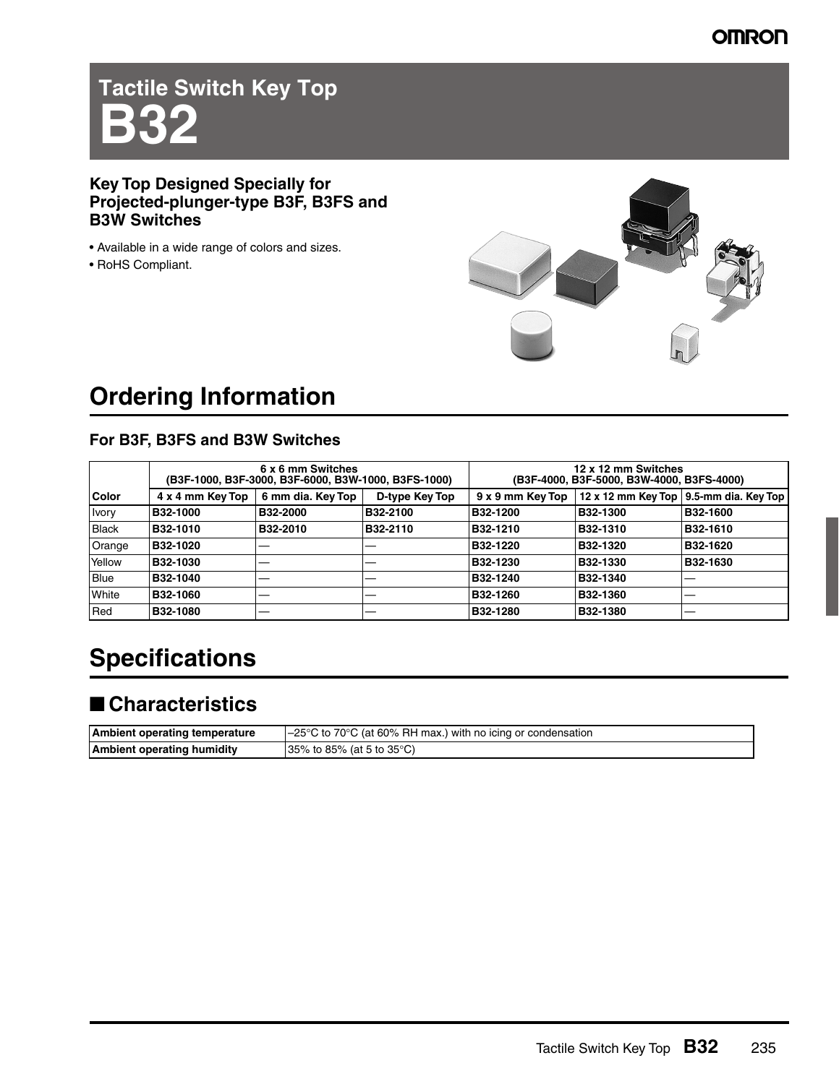# **Tactile Switch Key Top B32**

#### **Key Top Designed Specially for Projected-plunger-type B3F, B3FS and B3W Switches**

- Available in a wide range of colors and sizes.
- RoHS Compliant.



## **Ordering Information**

### **For B3F, B3FS and B3W Switches**

|                | 6 x 6 mm Switches<br>(B3F-1000, B3F-3000, B3F-6000, B3W-1000, B3FS-1000) |                   |                | 12 x 12 mm Switches<br>(B3F-4000, B3F-5000, B3W-4000, B3FS-4000) |          |                                          |
|----------------|--------------------------------------------------------------------------|-------------------|----------------|------------------------------------------------------------------|----------|------------------------------------------|
| <b>Color</b>   | 4 x 4 mm Key Top                                                         | 6 mm dia. Key Top | D-type Key Top | $9 \times 9$ mm Key Top                                          |          | 12 x 12 mm Key Top   9.5-mm dia. Key Top |
| <b>I</b> vory  | B32-1000                                                                 | B32-2000          | B32-2100       | B32-1200                                                         | B32-1300 | B32-1600                                 |
| Black          | <b>B32-1010</b>                                                          | B32-2010          | B32-2110       | <b>B32-1210</b>                                                  | B32-1310 | B32-1610                                 |
| Orange         | <b>B32-1020</b>                                                          | ___               |                | B32-1220                                                         | B32-1320 | B32-1620                                 |
| Yellow         | <b>B32-1030</b>                                                          |                   |                | B32-1230                                                         | B32-1330 | B32-1630                                 |
| <b>Blue</b>    | B32-1040                                                                 | __                |                | B32-1240                                                         | B32-1340 |                                          |
| <b>I</b> White | <b>B32-1060</b>                                                          | __                |                | <b>B32-1260</b>                                                  | B32-1360 |                                          |
| <b>I</b> Red   | B32-1080                                                                 | __                |                | B32-1280                                                         | B32-1380 | __                                       |

## **Specifications**

## ■ **Characteristics**

| Ambient operating temperature     | $\vert$ –25°C to 70°C (at 60% RH max.) with no icing or condensation |
|-----------------------------------|----------------------------------------------------------------------|
| <b>Ambient operating humidity</b> | $ 35\%$ to 85% (at 5 to 35 °C)                                       |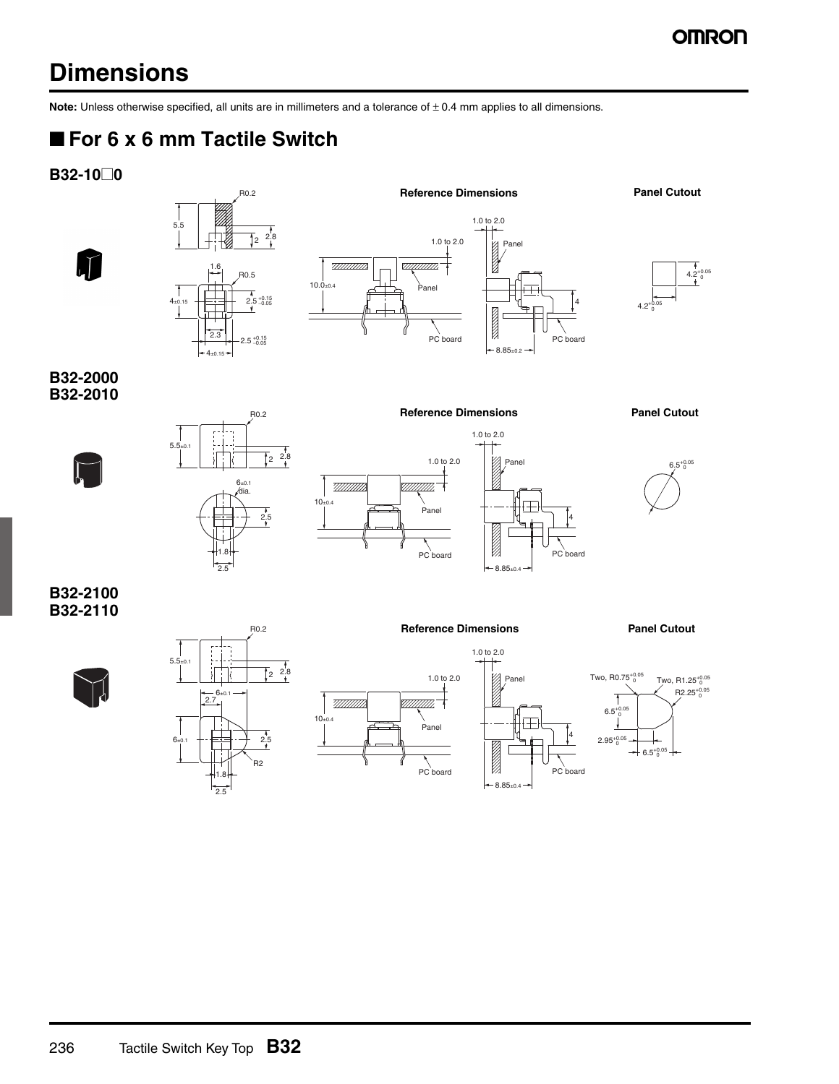## **Dimensions**

**Note:** Unless otherwise specified, all units are in millimeters and a tolerance of  $\pm$  0.4 mm applies to all dimensions.

## ■ **For 6 x 6 mm Tactile Switch**

**B32-10@0**

 $\mathbf{J}$ 







4.2 0

**B32-2000 B32-2010**





R0.2





4

**Reference Dimensions Panel Cutout**

PC board

4

PC board

**B32-2100 B32-2110**





**Reference Dimensions Panel Cutout**





1.0 to 2.0

 $8.85_{\pm0.4}$ 

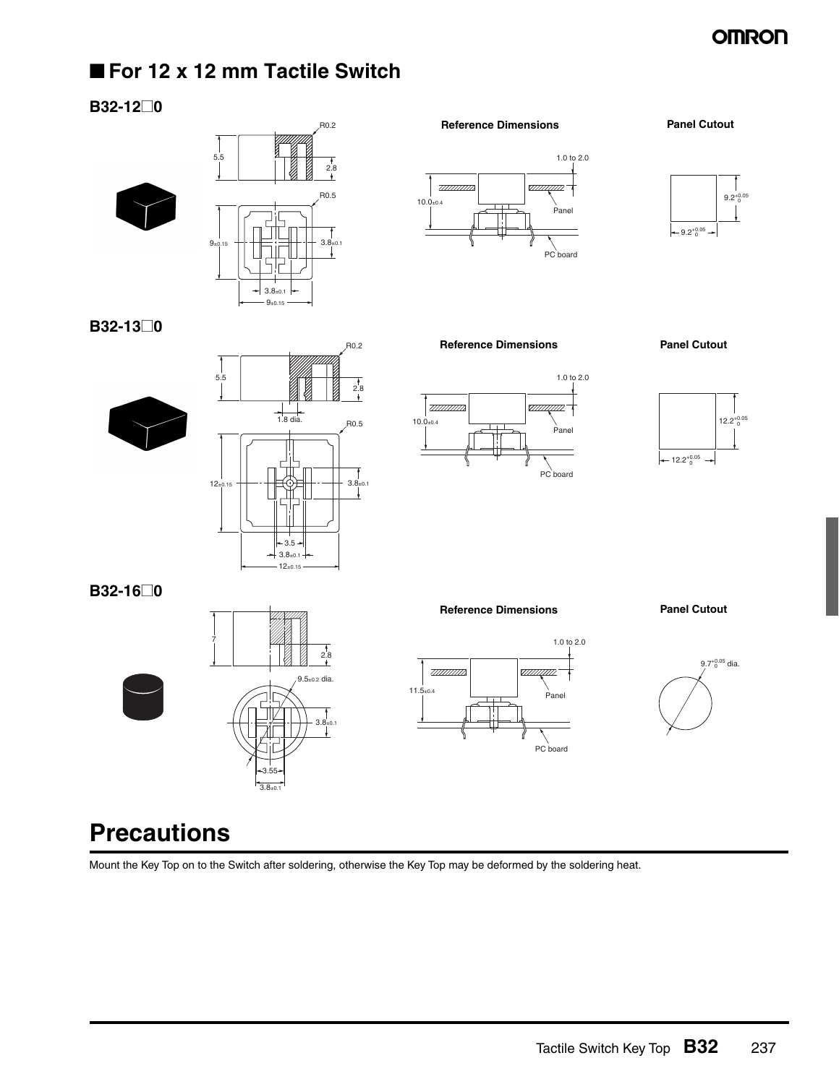### **OMRON**

### ■ **For 12 x 12 mm Tactile Switch**

#### **B32-12@0**

**B32-13@0**





 $-3.5 -$ 

 $12+0.15$ 

2.8

 $\frac{1}{1.8}$  dia

 $+3.8_{\pm0.1}$ 

R0.2 **Reference Dimensions Panel Cutout**

### 1.0 to 2.0 <u>TIINININ</u>  $10.0_{\pm 0.4}$ Panel PC board



**Reference Dimensions Panel Cutout**







**B32-16@0**



 $12_{\pm 0}$ 

5.5

#### **Reference Dimensions Panel Cutout**





## **Precautions**

Mount the Key Top on to the Switch after soldering, otherwise the Key Top may be deformed by the soldering heat.

 $2.8$ 

R0.2

R0.5

3.8±0.1